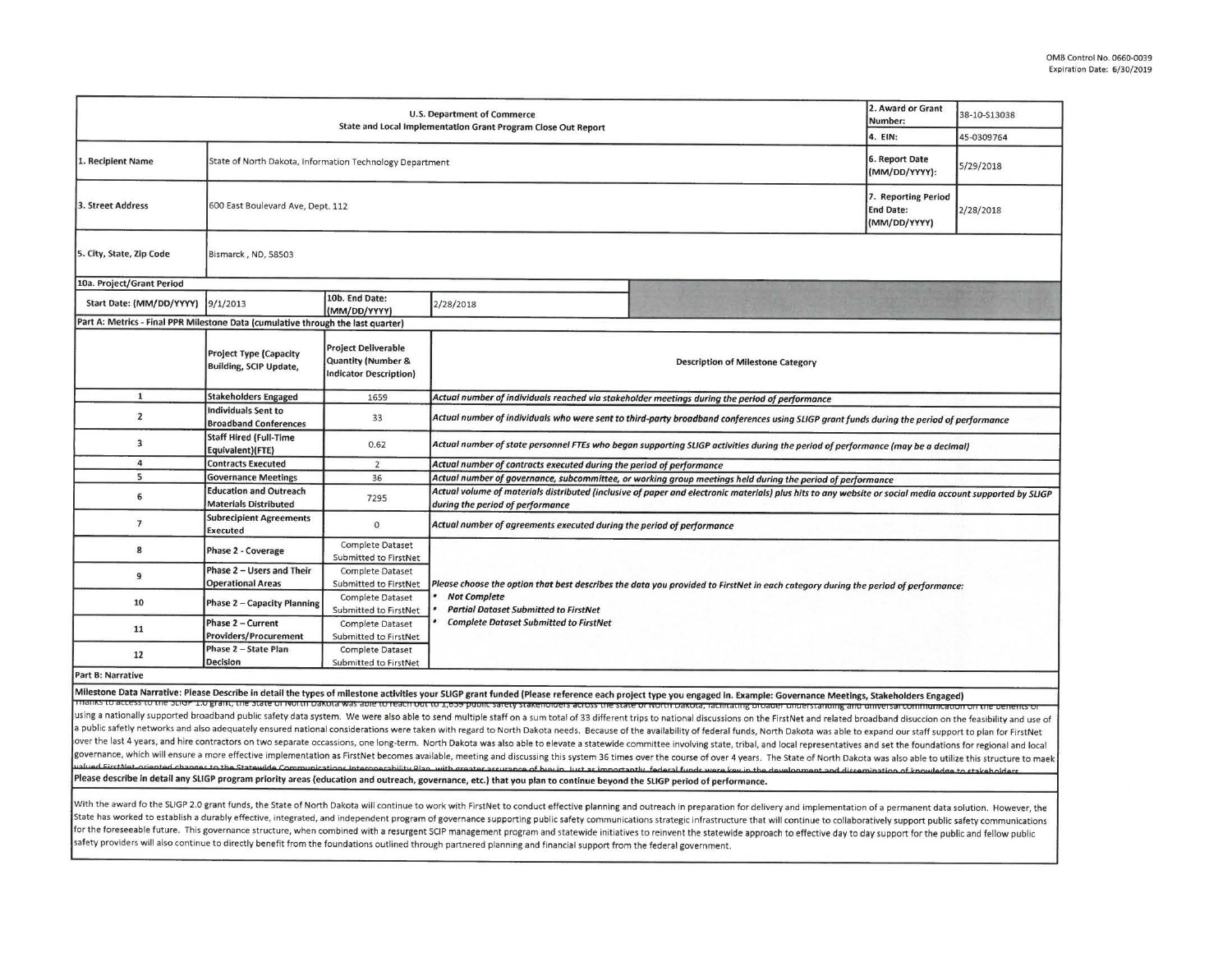| U.S. Department of Commerce<br>State and Local Implementation Grant Program Close Out Report |                                                                |                                                                                              |                                                                                                                                                                                              | 2. Award or Grant<br>Number:                                                                                                                                                                                                                                                                                                                                                                                                                                     | 38-10-S13038                                            |           |  |  |
|----------------------------------------------------------------------------------------------|----------------------------------------------------------------|----------------------------------------------------------------------------------------------|----------------------------------------------------------------------------------------------------------------------------------------------------------------------------------------------|------------------------------------------------------------------------------------------------------------------------------------------------------------------------------------------------------------------------------------------------------------------------------------------------------------------------------------------------------------------------------------------------------------------------------------------------------------------|---------------------------------------------------------|-----------|--|--|
|                                                                                              |                                                                |                                                                                              | 4. EIN:                                                                                                                                                                                      | 45-0309764                                                                                                                                                                                                                                                                                                                                                                                                                                                       |                                                         |           |  |  |
| 1. Recipient Name                                                                            | State of North Dakota, Information Technology Department       |                                                                                              |                                                                                                                                                                                              | 6. Report Date<br>(MM/DD/YYYY):                                                                                                                                                                                                                                                                                                                                                                                                                                  | 5/29/2018                                               |           |  |  |
| 3. Street Address                                                                            | 600 East Boulevard Ave, Dept. 112                              |                                                                                              |                                                                                                                                                                                              |                                                                                                                                                                                                                                                                                                                                                                                                                                                                  | 7. Reporting Period<br><b>End Date:</b><br>(MM/DD/YYYY) | 2/28/2018 |  |  |
| 5. City, State, Zip Code<br>Bismarck, ND, 58503                                              |                                                                |                                                                                              |                                                                                                                                                                                              |                                                                                                                                                                                                                                                                                                                                                                                                                                                                  |                                                         |           |  |  |
| 10a. Project/Grant Period                                                                    |                                                                |                                                                                              |                                                                                                                                                                                              |                                                                                                                                                                                                                                                                                                                                                                                                                                                                  |                                                         |           |  |  |
| Start Date: (MM/DD/YYYY)                                                                     | 9/1/2013                                                       | 10b. End Date:<br>(MM/DD/YYYY)                                                               | 2/28/2018                                                                                                                                                                                    |                                                                                                                                                                                                                                                                                                                                                                                                                                                                  |                                                         |           |  |  |
| Part A: Metrics - Final PPR Milestone Data (cumulative through the last quarter)             |                                                                |                                                                                              |                                                                                                                                                                                              |                                                                                                                                                                                                                                                                                                                                                                                                                                                                  |                                                         |           |  |  |
|                                                                                              | <b>Project Type (Capacity</b><br><b>Building, SCIP Update,</b> | <b>Project Deliverable</b><br><b>Quantity (Number &amp;</b><br><b>Indicator Description)</b> | <b>Description of Milestone Category</b>                                                                                                                                                     |                                                                                                                                                                                                                                                                                                                                                                                                                                                                  |                                                         |           |  |  |
| $\mathbf{1}$                                                                                 | <b>Stakeholders Engaged</b>                                    | 1659                                                                                         | Actual number of individuals reached via stakeholder meetings during the period of performance                                                                                               |                                                                                                                                                                                                                                                                                                                                                                                                                                                                  |                                                         |           |  |  |
| $\overline{2}$                                                                               | <b>Individuals Sent to</b><br><b>Broadband Conferences</b>     | 33                                                                                           | Actual number of individuals who were sent to third-party broadband conferences using SLIGP grant funds during the period of performance                                                     |                                                                                                                                                                                                                                                                                                                                                                                                                                                                  |                                                         |           |  |  |
| $\overline{\mathbf{3}}$                                                                      | <b>Staff Hired (Full-Time</b><br>Equivalent)(FTE)              | 0.62                                                                                         | Actual number of state personnel FTEs who began supporting SLIGP activities during the period of performance (may be a decimal)                                                              |                                                                                                                                                                                                                                                                                                                                                                                                                                                                  |                                                         |           |  |  |
| $\overline{a}$                                                                               | <b>Contracts Executed</b>                                      | $\overline{2}$                                                                               | Actual number of contracts executed during the period of performance                                                                                                                         |                                                                                                                                                                                                                                                                                                                                                                                                                                                                  |                                                         |           |  |  |
| 5                                                                                            | <b>Governance Meetings</b>                                     | 36                                                                                           | Actual number of governance, subcommittee, or working group meetings held during the period of performance                                                                                   |                                                                                                                                                                                                                                                                                                                                                                                                                                                                  |                                                         |           |  |  |
| 6                                                                                            | <b>Education and Outreach</b><br><b>Materials Distributed</b>  | 7295                                                                                         | Actual volume of materials distributed (inclusive of paper and electronic materials) plus hits to any website or social media account supported by SLIGP<br>during the period of performance |                                                                                                                                                                                                                                                                                                                                                                                                                                                                  |                                                         |           |  |  |
| $\overline{7}$                                                                               | <b>Subrecipient Agreements</b><br><b>Executed</b>              | $\circ$                                                                                      | Actual number of agreements executed during the period of performance                                                                                                                        |                                                                                                                                                                                                                                                                                                                                                                                                                                                                  |                                                         |           |  |  |
| 8                                                                                            | Phase 2 - Coverage                                             | <b>Complete Dataset</b><br>Submitted to FirstNet                                             |                                                                                                                                                                                              |                                                                                                                                                                                                                                                                                                                                                                                                                                                                  |                                                         |           |  |  |
| 9                                                                                            | Phase 2 - Users and Their<br><b>Operational Areas</b>          | Complete Dataset<br>Submitted to FirstNet                                                    |                                                                                                                                                                                              | Please choose the option that best describes the data you provided to FirstNet in each category during the period of performance:                                                                                                                                                                                                                                                                                                                                |                                                         |           |  |  |
| 10                                                                                           | <b>Phase 2 - Capacity Planning</b>                             | Complete Dataset<br>Submitted to FirstNet                                                    | <b>Not Complete</b><br><b>Partial Dataset Submitted to FirstNet</b>                                                                                                                          |                                                                                                                                                                                                                                                                                                                                                                                                                                                                  |                                                         |           |  |  |
| 11                                                                                           | Phase 2 - Current<br><b>Providers/Procurement</b>              | <b>Complete Dataset</b><br>Submitted to FirstNet                                             | <b>Complete Dataset Submitted to FirstNet</b>                                                                                                                                                |                                                                                                                                                                                                                                                                                                                                                                                                                                                                  |                                                         |           |  |  |
| 12                                                                                           | Phase 2 - State Plan<br>Decision                               | Complete Dataset<br>Submitted to FirstNet                                                    |                                                                                                                                                                                              |                                                                                                                                                                                                                                                                                                                                                                                                                                                                  |                                                         |           |  |  |
| Part B: Narrative                                                                            |                                                                |                                                                                              |                                                                                                                                                                                              |                                                                                                                                                                                                                                                                                                                                                                                                                                                                  |                                                         |           |  |  |
|                                                                                              |                                                                |                                                                                              |                                                                                                                                                                                              | Milestone Data Narrative: Please Describe in detail the types of milestone activities your SLIGP grant funded (Please reference each project type you engaged in. Example: Governance Meetings, Stakeholders Engaged)                                                                                                                                                                                                                                            |                                                         |           |  |  |
|                                                                                              |                                                                |                                                                                              |                                                                                                                                                                                              | Thanks to access to the Strop 1.0 grant, the State of North Dakota was able to reach out to 1,039 public safety stakeholders across the state of North Dakota, facilitating proader understanding and unversare official day o<br>using a nationally supported broadband public safety data system. We were also able to send multiple staff on a sum total of 33 different trips to national discussions on the FirstNet and related broadband disuccion on the |                                                         |           |  |  |

using a nationally supported broadband public safety data system. We were also able to send multiple staff on a sum total of 33 different trips to national discussions on the firstNet and related broadband disuccion on the over the last 4 years, and hire contractors on two separate occassions, one long-term. North Dakota was also able to elevate a statewide committee involving state, tribal, and local representatives and set the foundations governance, which will ensure a more effective implementation as FirstNet becomes available, meeting and discussing this system 36 times over the course of over 4 years. The State of North Dakota was also able to utilize t ···--- "· '-· . ·- Please describe In detail any SLIGP program priority areas (education and outreach, governance, etc.) that you plan to continue beyond the SLIGP period of performance.

With the award fo the SLIGP 2.0 grant funds, the State of North Dakota will continue to work with FirstNet to conduct effective planning and outreach in preparation for delivery and implementation of a permanent data solut State has worked to establish a durably effective, integrated, and independent program of governance supporting public safety communications strategic infrastructure that will continue to collaboratively support public saf for the foreseeable future. This governance structure, when combined with a resurgent SCIP management program and statewide initiatives to reinvent the statewide approach to effective day to day support for the public and safety providers will also continue to directly benefit from the foundations outlined through partnered planning and financial support from the federal government.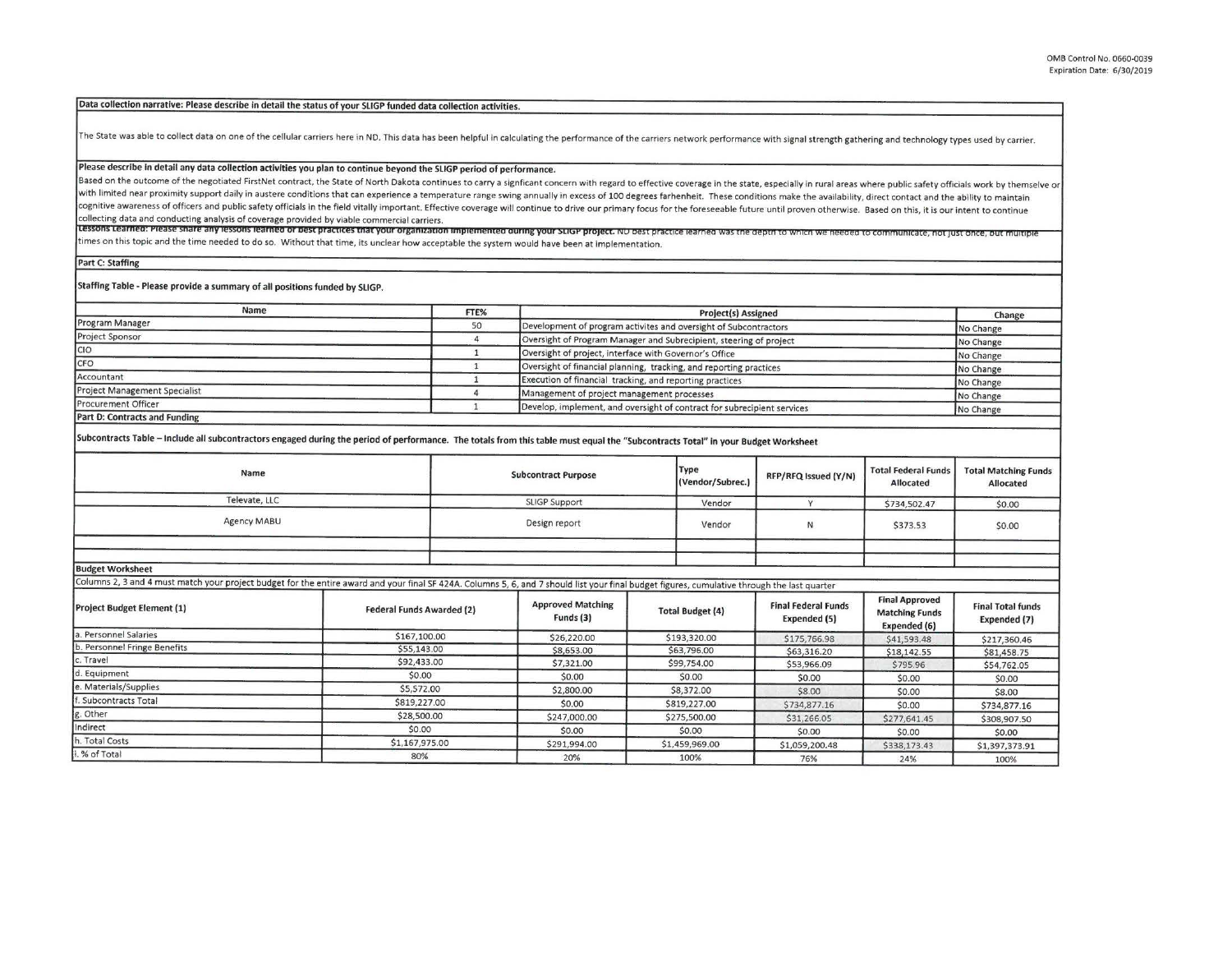Data collection narrative: Please describe in detail the status of your SLIGP funded data collection activities.

The State was able to collect data on one of the cellular carriers here in ND. This data has been helpful in calculating the performance of the carriers network performance with signal strength gathering and technology typ

## Please describe in detail any data collection activities you plan to continue beyond the SLIGP period of performance.

Based on the outcome of the negotiated FirstNet contract, the State of North Dakota continues to carry a signficant concern with regard to effective coverage in the state, especially in rural areas where public safety offi with limited near proximity support daily in austere conditions that can experience a temperature range swing annually in excess of 100 degrees farhenheit. These conditions make the availability, direct contact and the abi cognitive awareness of officers and public safety officials in the field vitally important. Effective coverage will continue to drive our primary focus for the foreseeable future until proven otherwise. Based on this, it i collecting data and conducting analysis of coverage provided by viable commercial carriers.

collecting data and conducting analysis of coverage provided by viable commercial carriers.<br>Lessons Learned: Please share any lessons learned or best practices that your organization implemented during your SLIGP project. times on this topic and the time needed to do so. Without that time, its unclear how acceptable the system would have been at implementation.

**Part** C: **Staffing** 

**Staffing Table** - **Please provide a summary of all positions funded by SLIGP.** 

| Name                                 | FTE% | <b>Project(s) Assigned</b>                                              |                     |  |
|--------------------------------------|------|-------------------------------------------------------------------------|---------------------|--|
| Program Manager                      | 50   | Development of program activites and oversight of Subcontractors        | Change<br>No Change |  |
| Project Sponsor                      |      | Oversight of Program Manager and Subrecipient, steering of project      | No Change           |  |
| CIO <sub>.</sub>                     |      | Oversight of project, interface with Governor's Office                  | No Change           |  |
| ICFO                                 |      | Oversight of financial planning, tracking, and reporting practices      | No Change           |  |
| Accountant                           |      | Execution of financial tracking, and reporting practices                | No Change           |  |
| <b>Project Management Specialist</b> |      | Management of project management processes                              | No Change           |  |
| <b>Procurement Officer</b>           |      | Develop, implement, and oversight of contract for subrecipient services | No Change           |  |
| Part D: Contracts and Funding        |      |                                                                         |                     |  |

Subcontracts Table - Include all subcontractors engaged during the period of performance. The totals from this table must equal the "Subcontracts Total" in your Budget Worksheet

| Name                                       | <b>Subcontract Purpose</b> | Type<br>(Vendor/Subrec.) | RFP/RFQ Issued (Y/N) | Total Federal Funds<br>Allocated | <b>Total Matching Funds</b><br>Allocated |
|--------------------------------------------|----------------------------|--------------------------|----------------------|----------------------------------|------------------------------------------|
| Televate, LLC                              | <b>SLIGP Support</b>       | Vendor                   |                      | \$734,502.47                     | \$0.00                                   |
| Agency MABU                                | Design report              | Vendor                   | N                    | \$373.53                         | \$0.00                                   |
|                                            |                            |                          |                      |                                  |                                          |
| and the first company of the first company |                            |                          |                      |                                  |                                          |

**Budget Worksheet** 

Columns 2, 3 and 4 must match your project budget for the entire award and your final SF 424A. Columns 5, 6, and 7 should list your final budget figures, cumulative through the last quarter

| <b>Project Budget Element (1)</b> | <b>Federal Funds Awarded (2)</b> | <b>Approved Matching</b><br>Funds (3) | <b>Total Budget (4)</b> | <b>Final Federal Funds</b><br>Expended (5) | <b>Final Approved</b><br><b>Matching Funds</b><br>Expended (6) | <b>Final Total funds</b><br>Expended (7) |
|-----------------------------------|----------------------------------|---------------------------------------|-------------------------|--------------------------------------------|----------------------------------------------------------------|------------------------------------------|
| a. Personnel Salaries             | \$167,100.00                     | \$26,220.00                           | \$193,320,00            | \$175,766.98                               | \$41,593.48                                                    | \$217,360.46                             |
| b. Personnel Fringe Benefits      | \$55,143.00                      | \$8,653.00                            | \$63,796.00             | \$63,316.20                                | \$18,142.55                                                    | \$81,458.75                              |
| c. Travel                         | \$92,433.00                      | \$7,321.00                            | \$99,754.00             | \$53,966.09                                | \$795.96                                                       | \$54,762.05                              |
| d. Equipment                      | \$0.00                           | \$0.00                                | \$0.00                  | \$0.00                                     | \$0.00                                                         | \$0.00                                   |
| e. Materials/Supplies             | \$5,572.00                       | \$2,800.00                            | \$8,372.00              | \$8.00                                     | \$0.00                                                         | \$8.00                                   |
| f. Subcontracts Total             | \$819,227.00                     | \$0.00                                | \$819,227.00            | \$734,877.16                               | \$0.00                                                         | \$734,877.16                             |
| g. Other                          | \$28,500.00                      | \$247,000.00                          | \$275,500.00            | \$31,266.05                                | \$277,641.45                                                   | \$308,907.50                             |
| Indirect                          | \$0.00                           | \$0.00                                | \$0.00                  | \$0.00                                     | \$0.00                                                         | \$0.00                                   |
| h. Total Costs                    | \$1,167,975.00                   | \$291,994.00                          | \$1,459,969.00          | \$1,059,200.48                             | \$338,173.43                                                   | \$1,397,373.91                           |
| i. % of Total                     | 80%                              | 20%                                   | 100%                    | 76%                                        | 24%                                                            | 100%                                     |